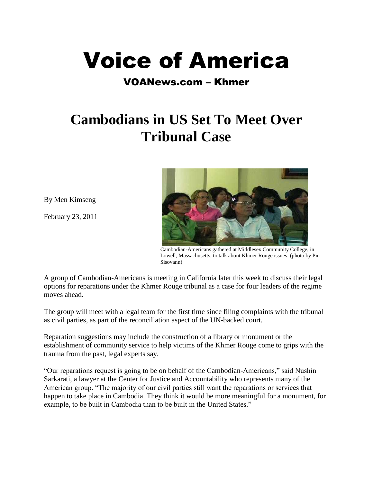

## VOANews.com – Khmer

## **Cambodians in US Set To Meet Over Tribunal Case**

By Men Kimseng

February 23, 2011



 Cambodian-Americans gathered at Middlesex Community College, in Lowell, Massachusetts, to talk about Khmer Rouge issues. (photo by Pin Sisovann)

A group of Cambodian-Americans is meeting in California later this week to discuss their legal options for reparations under the Khmer Rouge tribunal as a case for four leaders of the regime moves ahead.

The group will meet with a legal team for the first time since filing complaints with the tribunal as civil parties, as part of the reconciliation aspect of the UN-backed court.

Reparation suggestions may include the construction of a library or monument or the establishment of community service to help victims of the Khmer Rouge come to grips with the trauma from the past, legal experts say.

"Our reparations request is going to be on behalf of the Cambodian-Americans," said Nushin Sarkarati, a lawyer at the Center for Justice and Accountability who represents many of the American group. "The majority of our civil parties still want the reparations or services that happen to take place in Cambodia. They think it would be more meaningful for a monument, for example, to be built in Cambodia than to be built in the United States."